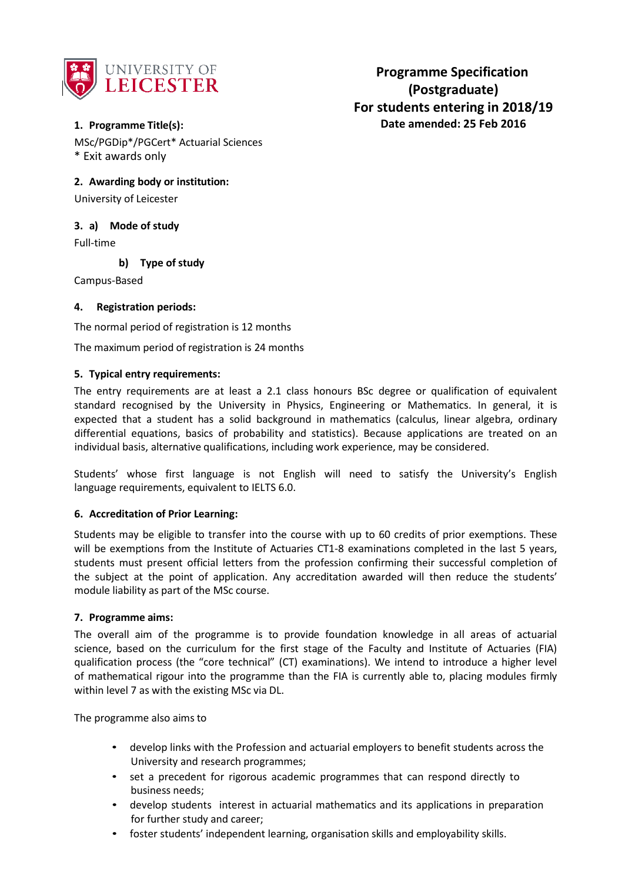

# **1. Programme Title(s):**

MSc/PGDip\*/PGCert\* Actuarial Sciences \* Exit awards only

**2. Awarding body or institution:**

University of Leicester

## **3. a) Mode of study**

Full-time

**b) Type of study**

Campus-Based

### **4. Registration periods:**

The normal period of registration is 12 months

The maximum period of registration is 24 months

### **5. Typical entry requirements:**

The entry requirements are at least a 2.1 class honours BSc degree or qualification of equivalent standard recognised by the University in Physics, Engineering or Mathematics. In general, it is expected that a student has a solid background in mathematics (calculus, linear algebra, ordinary differential equations, basics of probability and statistics). Because applications are treated on an individual basis, alternative qualifications, including work experience, may be considered.

Students' whose first language is not English will need to satisfy the University's English language requirements, equivalent to IELTS 6.0.

### **6. Accreditation of Prior Learning:**

Students may be eligible to transfer into the course with up to 60 credits of prior exemptions. These will be exemptions from the Institute of Actuaries CT1-8 examinations completed in the last 5 years, students must present official letters from the profession confirming their successful completion of the subject at the point of application. Any accreditation awarded will then reduce the students' module liability as part of the MSc course.

### **7. Programme aims:**

The overall aim of the programme is to provide foundation knowledge in all areas of actuarial science, based on the curriculum for the first stage of the Faculty and Institute of Actuaries (FIA) qualification process (the "core technical" (CT) examinations). We intend to introduce a higher level of mathematical rigour into the programme than the FIA is currently able to, placing modules firmly within level 7 as with the existing MSc via DL.

The programme also aims to

- develop links with the Profession and actuarial employers to benefit students across the University and research programmes;
- set a precedent for rigorous academic programmes that can respond directly to business needs;
- develop students interest in actuarial mathematics and its applications in preparation for further study and career;
- foster students' independent learning, organisation skills and employability skills.

**Programme Specification (Postgraduate) For students entering in 2018/19 Date amended: 25 Feb 2016**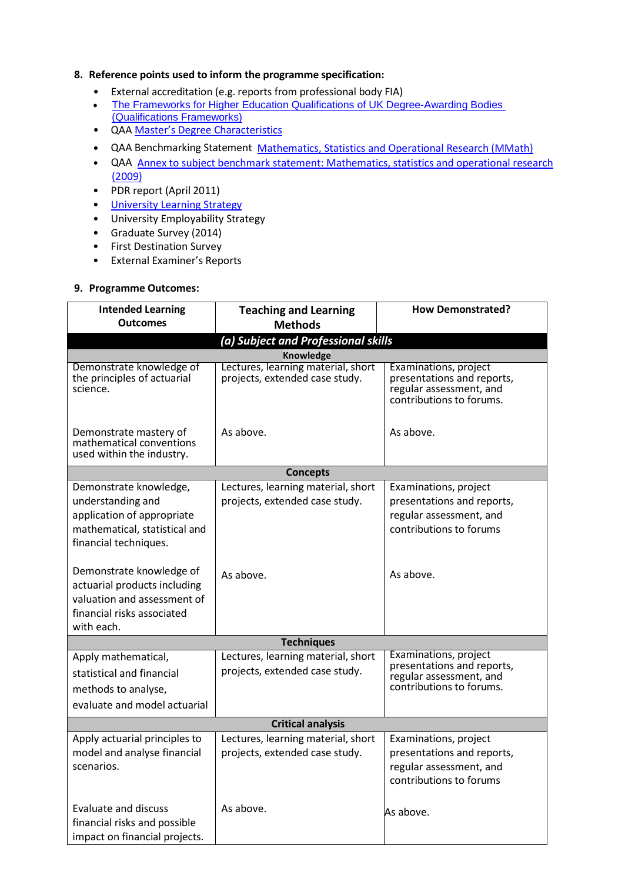### **8. Reference points used to inform the programme specification:**

- External accreditation (e.g. reports from professional body FIA)
- [The Frameworks for Higher Education Qualifications of UK Degree-Awarding Bodies](http://www.qaa.ac.uk/publications/information-and-guidance/publication?PubID=2843)  [\(Qualifications Frameworks\)](http://www.qaa.ac.uk/publications/information-and-guidance/publication?PubID=2843)
- QAA Master's Degree [Characteristics](http://www.qaa.ac.uk/en/Publications/Documents/Masters-Degree-Characteristics-2010.pdf)
- QAA Benchmarking Statement Mathematics, [Statistics and Operational Research](http://www.qaa.ac.uk/en/Publications/Documents/Subject-benchmark-statement-Mathematics-statistics-and-operational-research.pdf) (MMath)
- QAA Annex to subject benchmark statement: Mathematics, statistics [and operational research](http://www.qaa.ac.uk/en/Publications/Documents/Annex-to-Subject-benchmark-statement-Mathematics-statistics-and-operational-research.pdf) [\(2009\)](http://www.qaa.ac.uk/en/Publications/Documents/Annex-to-Subject-benchmark-statement-Mathematics-statistics-and-operational-research.pdf)
- PDR report (April 2011)
- University [Learning Strategy](http://www2.le.ac.uk/offices/sas2/quality/learnteach)
- University Employability Strategy
- Graduate Survey (2014)
- First Destination Survey
- External Examiner's Reports

### **9. Programme Outcomes:**

| <b>Intended Learning</b>                                                                                                            | <b>Teaching and Learning</b><br><b>How Demonstrated?</b>             |                                                                                                            |  |  |  |  |  |
|-------------------------------------------------------------------------------------------------------------------------------------|----------------------------------------------------------------------|------------------------------------------------------------------------------------------------------------|--|--|--|--|--|
| <b>Outcomes</b>                                                                                                                     | <b>Methods</b>                                                       |                                                                                                            |  |  |  |  |  |
| (a) Subject and Professional skills                                                                                                 |                                                                      |                                                                                                            |  |  |  |  |  |
| Demonstrate knowledge of                                                                                                            | Knowledge<br>Lectures, learning material, short                      | Examinations, project                                                                                      |  |  |  |  |  |
| the principles of actuarial<br>science.                                                                                             | projects, extended case study.                                       | presentations and reports,<br>regular assessment, and<br>contributions to forums.                          |  |  |  |  |  |
| Demonstrate mastery of<br>mathematical conventions<br>used within the industry.                                                     | As above.                                                            | As above.                                                                                                  |  |  |  |  |  |
|                                                                                                                                     | <b>Concepts</b>                                                      |                                                                                                            |  |  |  |  |  |
| Demonstrate knowledge,<br>understanding and<br>application of appropriate<br>mathematical, statistical and<br>financial techniques. | Lectures, learning material, short<br>projects, extended case study. | Examinations, project<br>presentations and reports,<br>regular assessment, and<br>contributions to forums  |  |  |  |  |  |
| Demonstrate knowledge of<br>actuarial products including<br>valuation and assessment of<br>financial risks associated<br>with each. | As above.                                                            | As above.                                                                                                  |  |  |  |  |  |
| <b>Techniques</b>                                                                                                                   |                                                                      |                                                                                                            |  |  |  |  |  |
| Apply mathematical,<br>statistical and financial<br>methods to analyse,<br>evaluate and model actuarial                             | Lectures, learning material, short<br>projects, extended case study. | Examinations, project<br>presentations and reports,<br>regular assessment, and<br>contributions to forums. |  |  |  |  |  |
| <b>Critical analysis</b>                                                                                                            |                                                                      |                                                                                                            |  |  |  |  |  |
| Apply actuarial principles to<br>model and analyse financial<br>scenarios.                                                          | Lectures, learning material, short<br>projects, extended case study. | Examinations, project<br>presentations and reports,<br>regular assessment, and<br>contributions to forums  |  |  |  |  |  |
| <b>Evaluate and discuss</b><br>financial risks and possible<br>impact on financial projects.                                        | As above.                                                            | As above.                                                                                                  |  |  |  |  |  |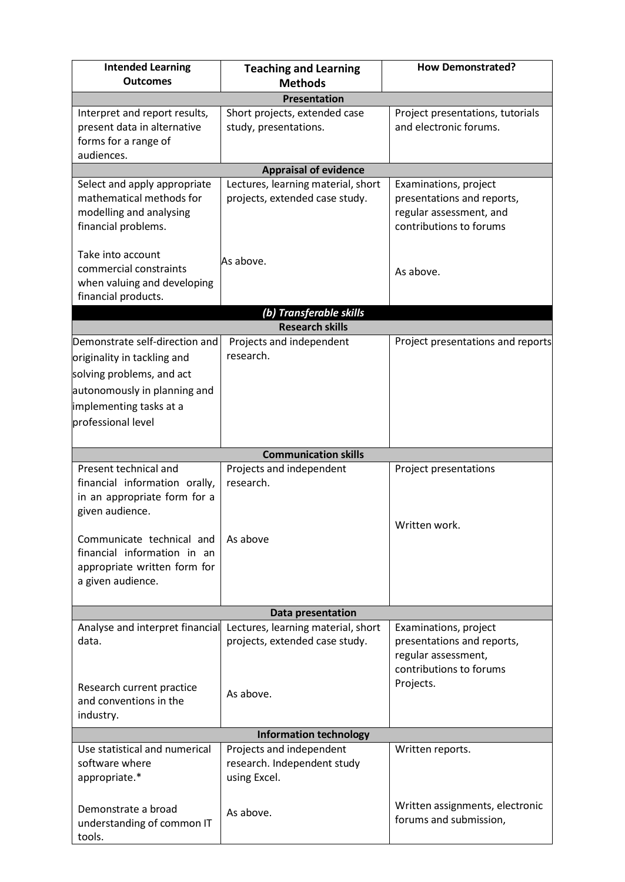| <b>Intended Learning</b>                                                                                                                                                                                                   | <b>Teaching and Learning</b>                                            | <b>How Demonstrated?</b>                                                                                  |  |  |  |
|----------------------------------------------------------------------------------------------------------------------------------------------------------------------------------------------------------------------------|-------------------------------------------------------------------------|-----------------------------------------------------------------------------------------------------------|--|--|--|
| <b>Outcomes</b>                                                                                                                                                                                                            | <b>Methods</b>                                                          |                                                                                                           |  |  |  |
|                                                                                                                                                                                                                            | <b>Presentation</b>                                                     |                                                                                                           |  |  |  |
| Interpret and report results,<br>present data in alternative<br>forms for a range of<br>audiences.                                                                                                                         | Short projects, extended case<br>study, presentations.                  | Project presentations, tutorials<br>and electronic forums.                                                |  |  |  |
|                                                                                                                                                                                                                            | <b>Appraisal of evidence</b>                                            |                                                                                                           |  |  |  |
| Select and apply appropriate<br>mathematical methods for<br>modelling and analysing<br>financial problems.                                                                                                                 | Lectures, learning material, short<br>projects, extended case study.    | Examinations, project<br>presentations and reports,<br>regular assessment, and<br>contributions to forums |  |  |  |
| Take into account<br>commercial constraints<br>when valuing and developing<br>financial products.                                                                                                                          | As above.                                                               | As above.                                                                                                 |  |  |  |
|                                                                                                                                                                                                                            | (b) Transferable skills                                                 |                                                                                                           |  |  |  |
|                                                                                                                                                                                                                            | <b>Research skills</b>                                                  |                                                                                                           |  |  |  |
| Demonstrate self-direction and<br>originality in tackling and<br>solving problems, and act<br>autonomously in planning and<br>implementing tasks at a<br>professional level                                                | Projects and independent<br>research.                                   | Project presentations and reports                                                                         |  |  |  |
|                                                                                                                                                                                                                            | <b>Communication skills</b>                                             |                                                                                                           |  |  |  |
| Present technical and<br>financial information orally,<br>in an appropriate form for a<br>given audience.<br>Communicate technical and<br>financial information in an<br>appropriate written form for<br>a given audience. | Projects and independent<br>research.<br>As above                       | Project presentations<br>Written work.                                                                    |  |  |  |
|                                                                                                                                                                                                                            |                                                                         |                                                                                                           |  |  |  |
|                                                                                                                                                                                                                            | Data presentation                                                       |                                                                                                           |  |  |  |
| Analyse and interpret financial<br>data.                                                                                                                                                                                   | Lectures, learning material, short<br>projects, extended case study.    | Examinations, project<br>presentations and reports,<br>regular assessment,<br>contributions to forums     |  |  |  |
| Research current practice<br>and conventions in the<br>industry.                                                                                                                                                           | As above.                                                               | Projects.                                                                                                 |  |  |  |
|                                                                                                                                                                                                                            | <b>Information technology</b>                                           |                                                                                                           |  |  |  |
| Use statistical and numerical<br>software where<br>appropriate.*                                                                                                                                                           | Projects and independent<br>research. Independent study<br>using Excel. | Written reports.                                                                                          |  |  |  |
| Demonstrate a broad<br>understanding of common IT<br>tools.                                                                                                                                                                | As above.                                                               | Written assignments, electronic<br>forums and submission,                                                 |  |  |  |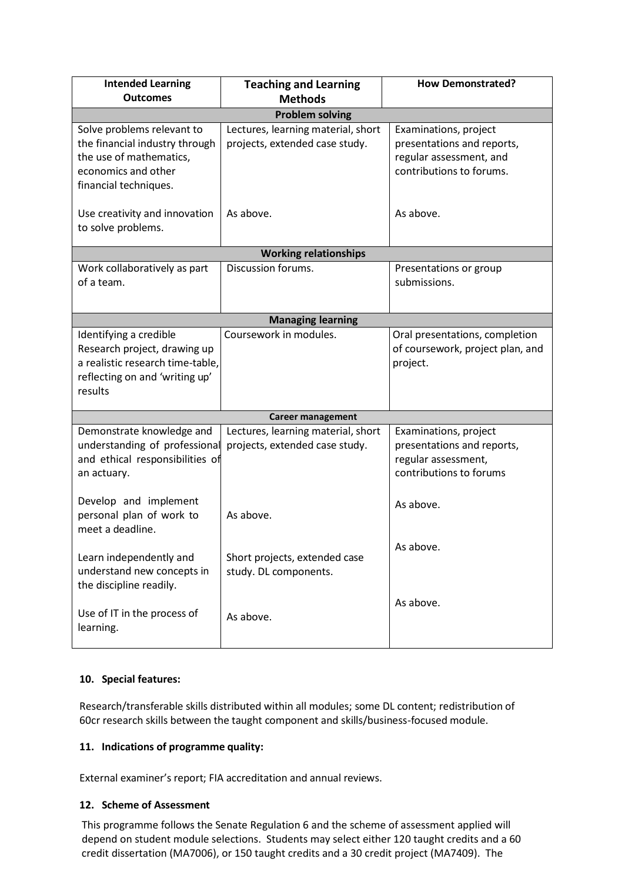| <b>Intended Learning</b><br><b>Outcomes</b>                                                                                             | <b>Teaching and Learning</b><br><b>Methods</b>                       | <b>How Demonstrated?</b>                                                                                   |  |  |  |  |
|-----------------------------------------------------------------------------------------------------------------------------------------|----------------------------------------------------------------------|------------------------------------------------------------------------------------------------------------|--|--|--|--|
| <b>Problem solving</b>                                                                                                                  |                                                                      |                                                                                                            |  |  |  |  |
| Solve problems relevant to<br>the financial industry through<br>the use of mathematics,<br>economics and other<br>financial techniques. | Lectures, learning material, short<br>projects, extended case study. | Examinations, project<br>presentations and reports,<br>regular assessment, and<br>contributions to forums. |  |  |  |  |
| Use creativity and innovation<br>to solve problems.                                                                                     | As above.                                                            | As above.                                                                                                  |  |  |  |  |
|                                                                                                                                         | <b>Working relationships</b>                                         |                                                                                                            |  |  |  |  |
| Work collaboratively as part<br>of a team.                                                                                              | Discussion forums.                                                   | Presentations or group<br>submissions.                                                                     |  |  |  |  |
|                                                                                                                                         | <b>Managing learning</b>                                             |                                                                                                            |  |  |  |  |
| Identifying a credible<br>Research project, drawing up<br>a realistic research time-table,<br>reflecting on and 'writing up'<br>results | Coursework in modules.                                               | Oral presentations, completion<br>of coursework, project plan, and<br>project.                             |  |  |  |  |
|                                                                                                                                         | <b>Career management</b>                                             |                                                                                                            |  |  |  |  |
| Demonstrate knowledge and<br>understanding of professional<br>and ethical responsibilities of<br>an actuary.                            | Lectures, learning material, short<br>projects, extended case study. | Examinations, project<br>presentations and reports,<br>regular assessment,<br>contributions to forums      |  |  |  |  |
| Develop and implement<br>personal plan of work to<br>meet a deadline.                                                                   | As above.                                                            | As above.                                                                                                  |  |  |  |  |
| Learn independently and<br>understand new concepts in<br>the discipline readily.                                                        | Short projects, extended case<br>study. DL components.               | As above.                                                                                                  |  |  |  |  |
| As above.<br>Use of IT in the process of<br>As above.<br>learning.                                                                      |                                                                      |                                                                                                            |  |  |  |  |

# **10. Special features:**

Research/transferable skills distributed within all modules; some DL content; redistribution of 60cr research skills between the taught component and skills/business-focused module.

# **11. Indications of programme quality:**

External examiner's report; FIA accreditation and annual reviews.

### **12. Scheme of Assessment**

This programme follows the Senate Regulation 6 and the scheme of assessment applied will depend on student module selections. Students may select either 120 taught credits and a 60 credit dissertation (MA7006), or 150 taught credits and a 30 credit project (MA7409). The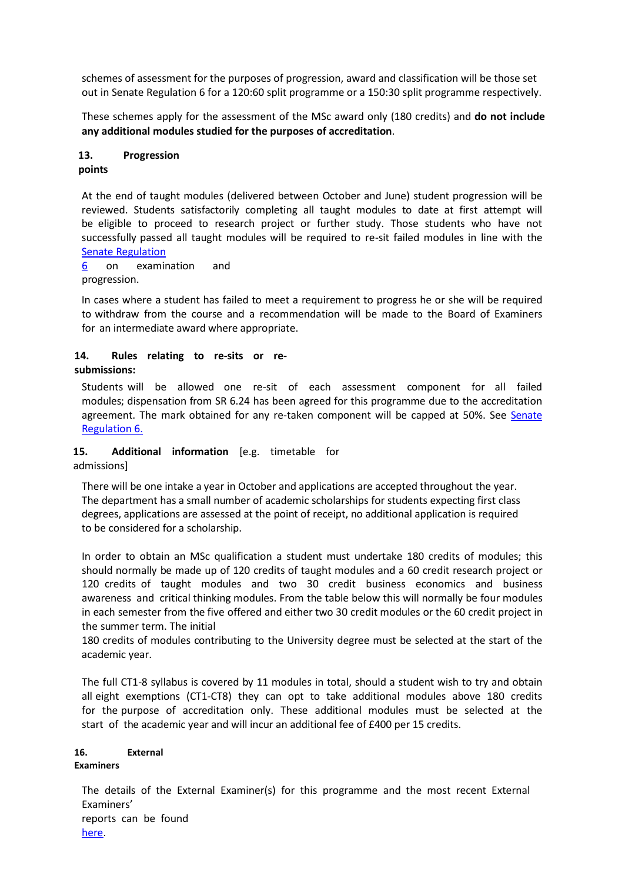schemes of assessment for the purposes of progression, award and classification will be those set out in Senate Regulation 6 for a 120:60 split programme or a 150:30 split programme respectively.

These schemes apply for the assessment of the MSc award only (180 credits) and **do not include any additional modules studied for the purposes of accreditation**.

## **13. Progression**

### **points**

At the end of taught modules (delivered between October and June) student progression will be reviewed. Students satisfactorily completing all taught modules to date at first attempt will be eligible to proceed to research project or further study. Those students who have not successfully passed all taught modules will be required to re-sit failed modules in line with the Senate Regulation

#### 6 on examination and progression.

In cases where a student has failed to meet a requirement to progress he or she will be required to withdraw from the course and a recommendation will be made to the Board of Examiners for an intermediate award where appropriate.

### **14. Rules relating to re-sits or resubmissions:**

Students will be allowed one re-sit of each assessment component for all failed modules; dispensation from SR 6.24 has been agreed for this programme due to the accreditation agreement. The mark obtained for any re-taken component will be capped at 50%. See Senate Regulation 6.

# **15. Additional information** [e.g. timetable for

admissions]

There will be one intake a year in October and applications are accepted throughout the year. The department has a small number of academic scholarships for students expecting first class degrees, applications are assessed at the point of receipt, no additional application is required to be considered for a scholarship.

In order to obtain an MSc qualification a student must undertake 180 credits of modules; this should normally be made up of 120 credits of taught modules and a 60 credit research project or 120 credits of taught modules and two 30 credit business economics and business awareness and critical thinking modules. From the table below this will normally be four modules in each semester from the five offered and either two 30 credit modules or the 60 credit project in the summer term. The initial

180 credits of modules contributing to the University degree must be selected at the start of the academic year.

The full CT1-8 syllabus is covered by 11 modules in total, should a student wish to try and obtain all eight exemptions (CT1-CT8) they can opt to take additional modules above 180 credits for the purpose of accreditation only. These additional modules must be selected at the start of the academic year and will incur an additional fee of £400 per 15 credits.

#### **16. External Examiners**

The details of the External Examiner(s) for this programme and the most recent External Examiners' reports can be found

[here.](https://exampapers.le.ac.uk/xmlui/handle/123456789/209)